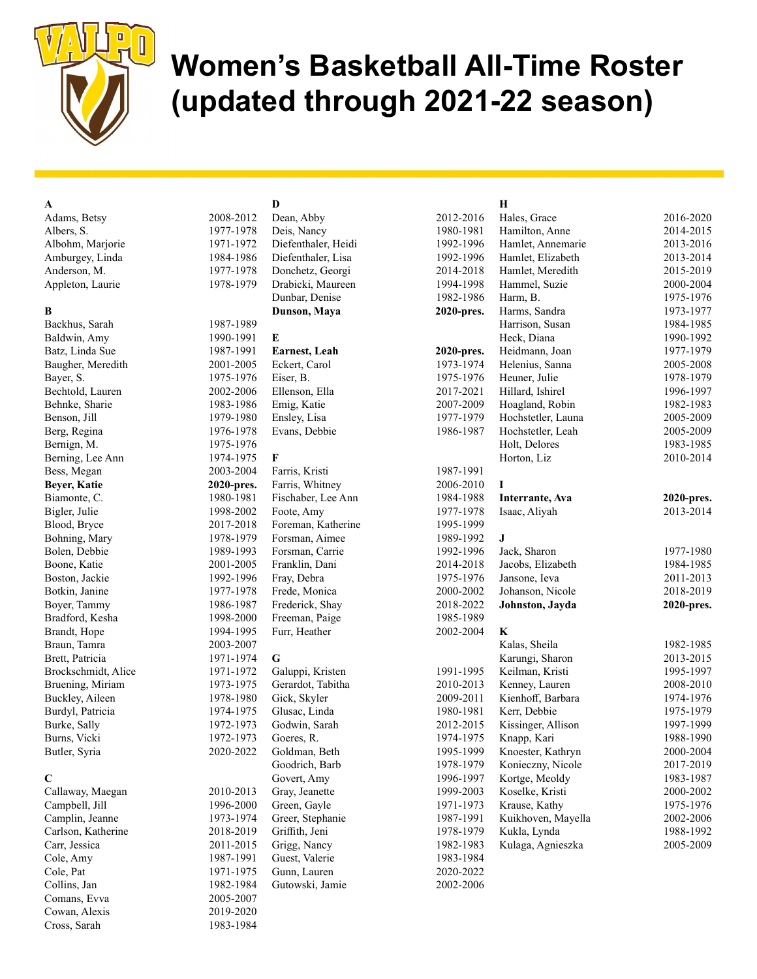

# Women's Basketball All-Time Roster (updated through 2021-22 season)

# A

Adams, Betsy 2008-2012 Albers, S. 1977-1978 Albohm, Marjorie 1971-1972 Amburgey, Linda 1984-1986 Anderson, M. 1977-1978 Appleton, Laurie 1978-1979

#### B

Backhus, Sarah 1987-1989 Baldwin, Amy 1990-1991 Batz, Linda Sue 1987-1991 Baugher, Meredith 2001-2005 Bayer, S. 1975-1976 Bechtold, Lauren 2002-2006 Behnke, Sharie 1983-1986 Benson, Jill 1979-1980 Berg, Regina 1976-1978 Bernign, M. 1975-1976 Berning, Lee Ann 1974-1975 Bess, Megan 2003-2004 Beyer, Katie 2020-pres. Biamonte, C. 1980-1981 Bigler, Julie 1998-2002 Blood, Bryce 2017-2018 Bohning, Mary 1978-1979 Bolen, Debbie 1989-1993 Boone, Katie 2001-2005 Boston, Jackie 1992-1996 Botkin, Janine 1977-1978 Boyer, Tammy 1986-1987 Bradford, Kesha 1998-2000 Brandt, Hope 1994-1995 Braun, Tamra 2003-2007 Brett, Patricia 1971-1974 Brockschmidt, Alice 1971-1972 Bruening, Miriam 1973-1975 Buckley, Aileen 1978-1980 Burdyl, Patricia 1974-1975 Burke, Sally 1972-1973 Burns, Vicki 1972-1973 Butler, Syria 2020-2022

### C

Callaway, Maegan 2010-2013 Campbell, Jill 1996-2000 Camplin, Jeanne 1973-1974 Carlson, Katherine 2018-2019 Carr, Jessica 2011-2015 Cole, Amy 1987-1991 Cole, Pat 1971-1975 Collins, Jan 1982-1984 Comans, Evva 2005-2007 Cowan, Alexis 2019-2020 Cross, Sarah 1983-1984

D

Dean, Abby 2012 Deis, Nancy 1980 Diefenthaler, Heidi 1992 Diefenthaler, Lisa 1992 Donchetz, Georgi 2014 Drabicki, Maureen 1994 Dunbar, Denise 1982 Dunson, Maya 2020-E Earnest, Leah 2020-Eckert, Carol 1973 Eiser, B. 1975 Ellenson, Ella 2017 Emig, Katie 2007-2009 Ensley, Lisa 1977 Evans, Debbie 1986 F Farris, Kristi 1987 Farris, Whitney 2006 Fischaber, Lee Ann 1984 Foote, Amy 1977 Foreman, Katherine 1995 Forsman, Aimee 1989 Forsman, Carrie 1992 Franklin, Dani 2014 Fray, Debra 1975 Frede, Monica 2000-2000 Frederick, Shay 2018 Freeman, Paige 1985 Furr, Heather 2002-G Galuppi, Kristen 1991-1991 Gerardot, Tabitha 2010 Gick, Skyler 2009 Glusac, Linda 1980 Godwin, Sarah 2012-Goeres, R. 1974 Goldman, Beth 1995 Goodrich, Barb 1978 Govert, Amy 1996 Gray, Jeanette 1999 Green, Gayle 1971 Greer, Stephanie 1987-1997 Griffith, Jeni 1978 Grigg, Nancy 1982-1983 Guest, Valerie 1983 Gunn, Lauren 2020 Gutowski, Jamie 2002-2006

# H

| $-2016$ | Hales, Grace       | 2016-2020  |
|---------|--------------------|------------|
| -1981   | Hamilton, Anne     | 2014-2015  |
| $-1996$ | Hamlet, Annemarie  | 2013-2016  |
| $-1996$ | Hamlet, Elizabeth  | 2013-2014  |
| $-2018$ | Hamlet, Meredith   | 2015-2019  |
| -1998   | Hammel, Suzie      | 2000-2004  |
| -1986   | Harm, B.           | 1975-1976  |
| pres.   | Harms, Sandra      | 1973-1977  |
|         | Harrison, Susan    | 1984-1985  |
|         | Heck, Diana        | 1990-1992  |
| pres.   | Heidmann, Joan     | 1977-1979  |
| 1974-   | Helenius, Sanna    | 2005-2008  |
| $-1976$ | Heuner, Julie      | 1978-1979  |
| $-2021$ | Hillard, Ishirel   | 1996-1997  |
| -2009   | Hoagland, Robin    | 1982-1983  |
| -1979   | Hochstetler, Launa | 2005-2009  |
| -1987   | Hochstetler, Leah  | 2005-2009  |
|         | Holt, Delores      | 1983-1985  |
|         | Horton, Liz        | 2010-2014  |
| -1991   |                    |            |
| $-2010$ | I                  |            |
| -1988   | Interrante, Ava    | 2020-pres. |
| $-1978$ | Isaac, Aliyah      | 2013-2014  |
| -1999   |                    |            |
| -1992   | J                  |            |
| -1996   | Jack, Sharon       | 1977-1980  |
| $-2018$ | Jacobs, Elizabeth  | 1984-1985  |
| $-1976$ | Jansone, Ieva      | 2011-2013  |
| $-2002$ | Johanson, Nicole   | 2018-2019  |
| $-2022$ | Johnston, Jayda    | 2020-pres. |
| -1989   |                    |            |
| $-2004$ | K                  |            |
|         | Kalas, Sheila      | 1982-1985  |
|         | Karungi, Sharon    | 2013-2015  |
| -1995   | Keilman, Kristi    | 1995-1997  |
| $-2013$ | Kenney, Lauren     | 2008-2010  |
| -2011   | Kienhoff, Barbara  | 1974-1976  |
| $-1981$ | Kerr, Debbie       | 1975-1979  |
| $-2015$ | Kissinger, Allison | 1997-1999  |
| $-1975$ | Knapp, Kari        | 1988-1990  |
| -1999   | Knoester, Kathryn  | 2000-2004  |
| -1979   | Konieczny, Nicole  | 2017-2019  |
| -1997   | Kortge, Meoldy     | 1983-1987  |
| $-2003$ | Koselke, Kristi    | 2000-2002  |
| -1973   | Krause, Kathy      | 1975-1976  |
| -1991   | Kuikhoven, Mayella | 2002-2006  |
| -1979   | Kukla, Lynda       | 1988-1992  |
| -1983   | Kulaga, Agnieszka  | 2005-2009  |
| $-1984$ |                    |            |
| $-2022$ |                    |            |
|         |                    |            |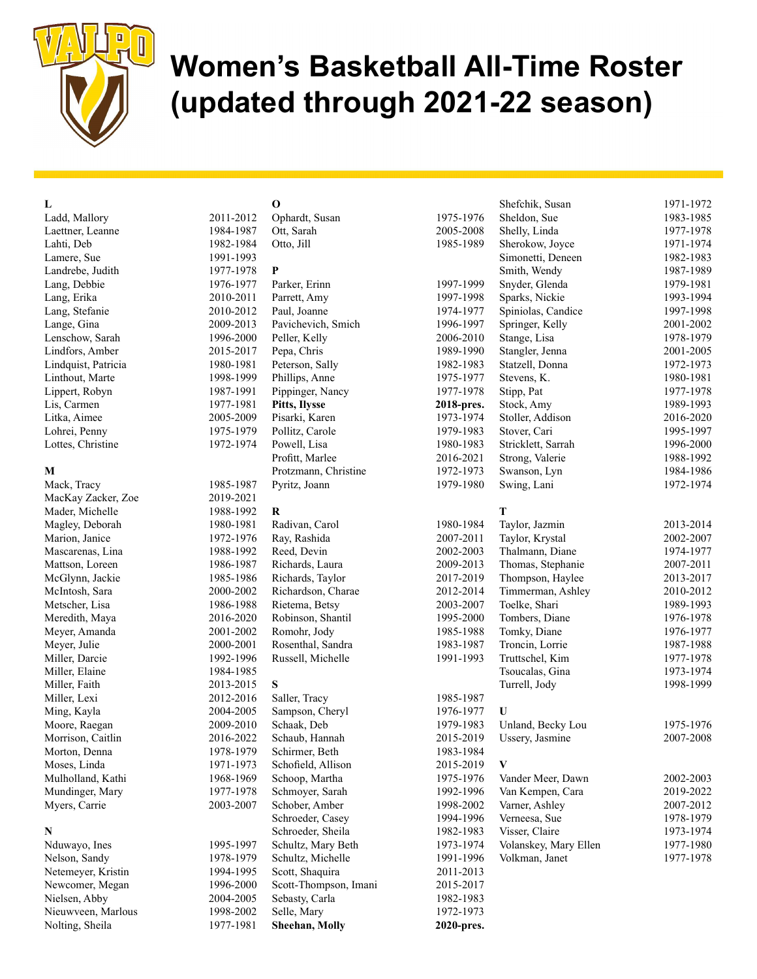

# Women's Basketball All-Time Roster (updated through 2021-22 season)

# L

Ladd, Mallory 2011 Laettner, Leanne 198 Lahti, Deb 198 Lamere, Sue 199 Landrebe, Judith 197 Lang, Debbie 1976-1977 Lang, Erika 2011 Lang, Stefanie 2012 Lange, Gina 200 Lenschow, Sarah 1996 Lindfors, Amber 2015-2017 Lindquist, Patricia 198 Linthout, Marte 199 Lippert, Robyn 1987-1991 Lis, Carmen 197 Litka, Aimee 200 Lohrei, Penny 19 Lottes, Christine 1972-1974

#### M

Mack, Tracy 1985-1987 MacKay Zacker, Zoe 2019-2019 Mader, Michelle 198 Magley, Deborah 198 Marion, Janice 197 Mascarenas, Lina 198 Mattson, Loreen 198 McGlynn, Jackie 198 McIntosh, Sara 200 Metscher, Lisa 198 Meredith, Maya 2016 Meyer, Amanda 2001 Meyer, Julie 2001 Miller, Darcie 199 Miller, Elaine 198 Miller, Faith 2013-2015 Miller, Lexi 2012-2016 Ming, Kayla 2004-2004 Moore, Raegan 200 Morrison, Caitlin 20 Morton, Denna 197 Moses, Linda 1971-1973 Mulholland, Kathi 196 Mundinger, Mary 197 Myers, Carrie 2003-2007

### N

Nduwayo, Ines 199 Nelson, Sandy 197 Netemeyer, Kristin 199 Newcomer, Megan 199 Nielsen, Abby 2004-2004 Nieuwveen, Marlous 199 Nolting, Sheila 1977-1981

| 11-2012 | Ophardt, Susan        | 1975-1976  |
|---------|-----------------------|------------|
| 84-1987 | Ott, Sarah            | 2005-2008  |
| 82-1984 | Otto, Jill            | 1985-1989  |
| 91-1993 |                       |            |
| 77-1978 | P                     |            |
| 76-1977 | Parker, Erinn         | 1997-1999  |
| 10-2011 | Parrett, Amy          | 1997-1998  |
| 10-2012 | Paul, Joanne          | 1974-1977  |
| 09-2013 | Pavichevich, Smich    | 1996-1997  |
| 96-2000 | Peller, Kelly         | 2006-2010  |
| 15-2017 | Pepa, Chris           | 1989-1990  |
| 80-1981 | Peterson, Sally       | 1982-1983  |
| 98-1999 | Phillips, Anne        | 1975-1977  |
| 87-1991 | Pippinger, Nancy      | 1977-1978  |
| 77-1981 | Pitts, Ilysse         | 2018-pres. |
| 05-2009 | Pisarki, Karen        | 1973-1974  |
| 75-1979 | Pollitz, Carole       | 1979-1983  |
| 72-1974 | Powell, Lisa          | 1980-1983  |
|         | Profitt, Marlee       | 2016-2021  |
|         | Protzmann, Christine  | 1972-1973  |
| 85-1987 | Pyritz, Joann         | 1979-1980  |
| 19-2021 |                       |            |
| 88-1992 | R                     |            |
| 80-1981 | Radivan, Carol        | 1980-1984  |
| 72-1976 | Ray, Rashida          | 2007-2011  |
| 88-1992 | Reed, Devin           | 2002-2003  |
| 86-1987 | Richards, Laura       | 2009-2013  |
| 85-1986 | Richards, Taylor      | 2017-2019  |
| 00-2002 | Richardson, Charae    | 2012-2014  |
| 86-1988 | Rietema, Betsy        | 2003-2007  |
| 16-2020 | Robinson, Shantil     | 1995-2000  |
| 01-2002 | Romohr, Jody          | 1985-1988  |
| 00-2001 | Rosenthal, Sandra     | 1983-1987  |
| 92-1996 | Russell, Michelle     | 1991-1993  |
| 84-1985 |                       |            |
| 13-2015 | S                     |            |
| 12-2016 | Saller, Tracy         | 1985-1987  |
| 04-2005 | Sampson, Cheryl       | 1976-1977  |
| 09-2010 | Schaak, Deb           | 1979-1983  |
| 16-2022 | Schaub, Hannah        | 2015-2019  |
| 78-1979 | Schirmer, Beth        | 1983-1984  |
| 71-1973 | Schofield, Allison    | 2015-2019  |
| 68-1969 | Schoop, Martha        | 1975-1976  |
| 77-1978 | Schmoyer, Sarah       | 1992-1996  |
| 03-2007 | Schober, Amber        | 1998-2002  |
|         | Schroeder, Casey      | 1994-1996  |
|         | Schroeder, Sheila     | 1982-1983  |
| 95-1997 | Schultz, Mary Beth    | 1973-1974  |
| 78-1979 | Schultz, Michelle     | 1991-1996  |
| 94-1995 | Scott, Shaquira       | 2011-2013  |
| 96-2000 | Scott-Thompson, Imani | 2015-2017  |
| 04-2005 | Sebasty, Carla        | 1982-1983  |
| 98-2002 | Selle, Mary           | 1972-1973  |
| 77-1981 | Sheehan, Molly        | 2020-pres. |

O

|                      | Shefchik, Susan       | 1971-1972 |
|----------------------|-----------------------|-----------|
| 975-1976             | Sheldon, Sue          | 1983-1985 |
| 005-2008             | Shelly, Linda         | 1977-1978 |
| 985-1989             | Sherokow, Joyce       | 1971-1974 |
|                      | Simonetti, Deneen     | 1982-1983 |
|                      | Smith, Wendy          | 1987-1989 |
| 997-1999             | Snyder, Glenda        | 1979-1981 |
| 997-1998             | Sparks, Nickie        | 1993-1994 |
| 974-1977             | Spiniolas, Candice    | 1997-1998 |
| 996-1997             | Springer, Kelly       | 2001-2002 |
| 006-2010             | Stange, Lisa          | 1978-1979 |
| 989-1990             | Stangler, Jenna       | 2001-2005 |
| 982-1983             | Statzell, Donna       | 1972-1973 |
| 975-1977             | Stevens, K.           | 1980-1981 |
| 977-1978             | Stipp, Pat            | 1977-1978 |
| 018-pres.            | Stock, Amy            | 1989-1993 |
| 973-1974             | Stoller, Addison      | 2016-2020 |
| 979-1983             | Stover, Cari          | 1995-1997 |
| 980-1983             | Stricklett, Sarrah    | 1996-2000 |
| 016-2021             | Strong, Valerie       | 1988-1992 |
| 972-1973             | Swanson, Lyn          | 1984-1986 |
| 979-1980             | Swing, Lani           | 1972-1974 |
|                      |                       |           |
|                      | Т                     |           |
| 980-1984             | Taylor, Jazmin        | 2013-2014 |
| 007-2011             | Taylor, Krystal       | 2002-2007 |
| 002-2003             | Thalmann, Diane       | 1974-1977 |
| 009-2013             | Thomas, Stephanie     | 2007-2011 |
| 017-2019             | Thompson, Haylee      | 2013-2017 |
| 012-2014             | Timmerman, Ashley     | 2010-2012 |
| 003-2007             | Toelke, Shari         | 1989-1993 |
| 995-2000             | Tombers, Diane        | 1976-1978 |
| 985-1988             | Tomky, Diane          | 1976-1977 |
| 983-1987             | Troncin, Lorrie       | 1987-1988 |
| 991-1993             | Truttschel, Kim       | 1977-1978 |
|                      | Tsoucalas, Gina       | 1973-1974 |
|                      | Turrell, Jody         | 1998-1999 |
| 985-1987             |                       |           |
| 976-1977             | U                     |           |
| 979-1983             | Unland, Becky Lou     | 1975-1976 |
| 015-2019             | Ussery, Jasmine       | 2007-2008 |
| 983-1984             |                       |           |
| 015-2019             | V                     |           |
| 975-1976             | Vander Meer, Dawn     | 2002-2003 |
| 992-1996             | Van Kempen, Cara      | 2019-2022 |
| 998-2002             | Varner, Ashley        | 2007-2012 |
| 994-1996             | Verneesa, Sue         | 1978-1979 |
| 982-1983             | Visser, Claire        | 1973-1974 |
| 973-1974             | Volanskey, Mary Ellen | 1977-1980 |
| 991-1996             | Volkman, Janet        | 1977-1978 |
| 011-2013             |                       |           |
| 015-2017             |                       |           |
| 982-1983             |                       |           |
| 972-1973<br>020-nres |                       |           |
|                      |                       |           |